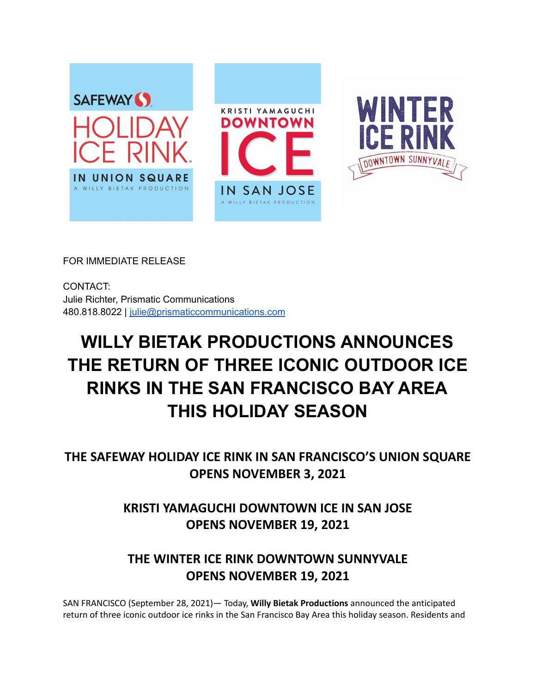

FOR IMMEDIATE RELEASE

CONTACT: Julie Richter, Prismatic Communications 480.818.8022 | [julie@prismaticcommunications.com](mailto:julie@prismaticcommunications.com)

# **WILLY BIETAK PRODUCTIONS ANNOUNCES THE RETURN OF THREE ICONIC OUTDOOR ICE RINKS IN THE SAN FRANCISCO BAY AREA THIS HOLIDAY SEASON**

**THE SAFEWAY HOLIDAY ICE RINK IN SAN FRANCISCO'S UNION SQUARE OPENS NOVEMBER 3, 2021**

> **KRISTI YAMAGUCHI DOWNTOWN ICE IN SAN JOSE OPENS NOVEMBER 19, 2021**

# **THE WINTER ICE RINK DOWNTOWN SUNNYVALE OPENS NOVEMBER 19, 2021**

SAN FRANCISCO (September 28, 2021)— Today, **Willy Bietak Productions** announced the anticipated return of three iconic outdoor ice rinks in the San Francisco Bay Area this holiday season. Residents and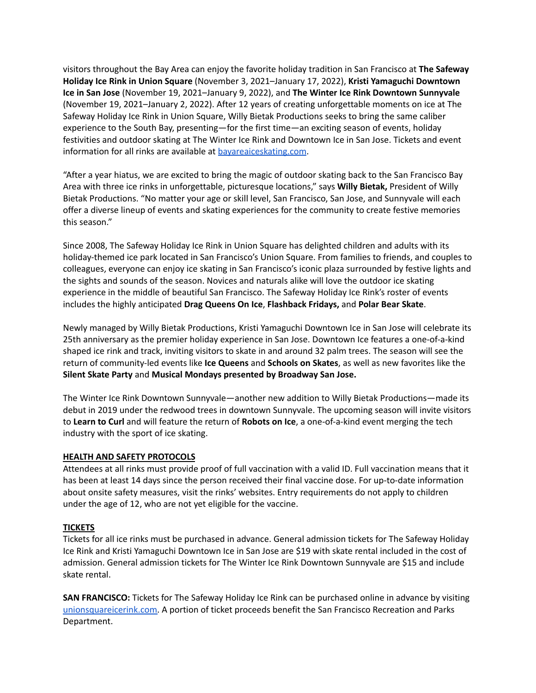visitors throughout the Bay Area can enjoy the favorite holiday tradition in San Francisco at **The Safeway Holiday Ice Rink in Union Square** (November 3, 2021–January 17, 2022), **Kristi Yamaguchi Downtown Ice in San Jose** (November 19, 2021–January 9, 2022), and **The Winter Ice Rink Downtown Sunnyvale** (November 19, 2021–January 2, 2022). After 12 years of creating unforgettable moments on ice at The Safeway Holiday Ice Rink in Union Square, Willy Bietak Productions seeks to bring the same caliber experience to the South Bay, presenting—for the first time—an exciting season of events, holiday festivities and outdoor skating at The Winter Ice Rink and Downtown Ice in San Jose. Tickets and event information for all rinks are available at **bayareaices kating.com**.

"After a year hiatus, we are excited to bring the magic of outdoor skating back to the San Francisco Bay Area with three ice rinks in unforgettable, picturesque locations," says **Willy Bietak,** President of Willy Bietak Productions. "No matter your age or skill level, San Francisco, San Jose, and Sunnyvale will each offer a diverse lineup of events and skating experiences for the community to create festive memories this season."

Since 2008, The Safeway Holiday Ice Rink in Union Square has delighted children and adults with its holiday-themed ice park located in San Francisco's Union Square. From families to friends, and couples to colleagues, everyone can enjoy ice skating in San Francisco's iconic plaza surrounded by festive lights and the sights and sounds of the season. Novices and naturals alike will love the outdoor ice skating experience in the middle of beautiful San Francisco. The Safeway Holiday Ice Rink's roster of events includes the highly anticipated **Drag Queens On Ice**, **Flashback Fridays,** and **Polar Bear Skate**.

Newly managed by Willy Bietak Productions, Kristi Yamaguchi Downtown Ice in San Jose will celebrate its 25th anniversary as the premier holiday experience in San Jose. Downtown Ice features a one-of-a-kind shaped ice rink and track, inviting visitors to skate in and around 32 palm trees. The season will see the return of community-led events like **Ice Queens** and **Schools on Skates**, as well as new favorites like the **Silent Skate Party** and **Musical Mondays presented by Broadway San Jose.**

The Winter Ice Rink Downtown Sunnyvale—another new addition to Willy Bietak Productions—made its debut in 2019 under the redwood trees in downtown Sunnyvale. The upcoming season will invite visitors to **Learn to Curl** and will feature the return of **Robots on Ice**, a one-of-a-kind event merging the tech industry with the sport of ice skating.

# **HEALTH AND SAFETY PROTOCOLS**

Attendees at all rinks must provide proof of full vaccination with a valid ID. Full vaccination means that it has been at least 14 days since the person received their final vaccine dose. For up-to-date information about onsite safety measures, visit the rinks' websites. Entry requirements do not apply to children under the age of 12, who are not yet eligible for the vaccine.

# **TICKETS**

Tickets for all ice rinks must be purchased in advance. General admission tickets for The Safeway Holiday Ice Rink and Kristi Yamaguchi Downtown Ice in San Jose are \$19 with skate rental included in the cost of admission. General admission tickets for The Winter Ice Rink Downtown Sunnyvale are \$15 and include skate rental.

**SAN FRANCISCO:** Tickets for The Safeway Holiday Ice Rink can be purchased online in advance by visiting [unionsquareicerink.com.](http://unionsquareicerink.com) A portion of ticket proceeds benefit the San Francisco Recreation and Parks Department.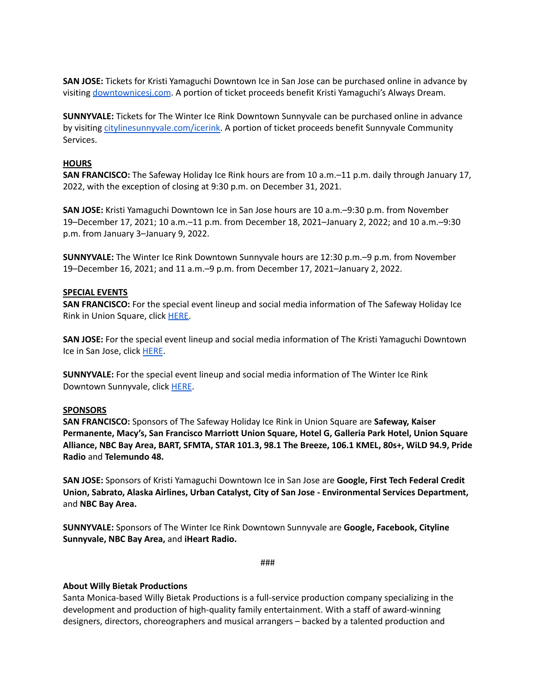**SAN JOSE:** Tickets for Kristi Yamaguchi Downtown Ice in San Jose can be purchased online in advance by visiting [downtownicesj.com](http://www.downtownicesj.com). A portion of ticket proceeds benefit Kristi Yamaguchi's Always Dream.

**SUNNYVALE:** Tickets for The Winter Ice Rink Downtown Sunnyvale can be purchased online in advance by visiting [citylinesunnyvale.com/icerink.](http://www.citylinesunnyvale.com/icerink) A portion of ticket proceeds benefit Sunnyvale Community Services.

#### **HOURS**

**SAN FRANCISCO:** The Safeway Holiday Ice Rink hours are from 10 a.m.–11 p.m. daily through January 17, 2022, with the exception of closing at 9:30 p.m. on December 31, 2021.

**SAN JOSE:** Kristi Yamaguchi Downtown Ice in San Jose hours are 10 a.m.–9:30 p.m. from November 19–December 17, 2021; 10 a.m.–11 p.m. from December 18, 2021–January 2, 2022; and 10 a.m.–9:30 p.m. from January 3–January 9, 2022.

**SUNNYVALE:** The Winter Ice Rink Downtown Sunnyvale hours are 12:30 p.m.–9 p.m. from November 19–December 16, 2021; and 11 a.m.–9 p.m. from December 17, 2021–January 2, 2022.

#### **SPECIAL EVENTS**

**SAN FRANCISCO:** For the special event lineup and social media information of The Safeway Holiday Ice Rink in Union Square, click [HERE.](https://unionsquareicerink.com/san-francisco-events/)

**SAN JOSE:** For the special event lineup and social media information of The Kristi Yamaguchi Downtown Ice in San Jose, click [HERE](https://www.downtownicesj.com/san-jose-events/).

**SUNNYVALE:** For the special event lineup and social media information of The Winter Ice Rink Downtown Sunnyvale, click [HERE](https://www.citylinesunnyvale.com/icerink/special-events/).

#### **SPONSORS**

**SAN FRANCISCO:** Sponsors of The Safeway Holiday Ice Rink in Union Square are **Safeway, Kaiser Permanente, Macy's, San Francisco Marriott Union Square, Hotel G, Galleria Park Hotel, Union Square Alliance, NBC Bay Area, BART, SFMTA, STAR 101.3, 98.1 The Breeze, 106.1 KMEL, 80s+, WiLD 94.9, Pride Radio** and **Telemundo 48.**

**SAN JOSE:** Sponsors of Kristi Yamaguchi Downtown Ice in San Jose are **Google, First Tech Federal Credit Union, Sabrato, Alaska Airlines, Urban Catalyst, City of San Jose - Environmental Services Department,** and **NBC Bay Area.**

**SUNNYVALE:** Sponsors of The Winter Ice Rink Downtown Sunnyvale are **Google, Facebook, Cityline Sunnyvale, NBC Bay Area,** and **iHeart Radio.**

###

# **About Willy Bietak Productions**

Santa Monica-based Willy Bietak Productions is a full-service production company specializing in the development and production of high-quality family entertainment. With a staff of award-winning designers, directors, choreographers and musical arrangers – backed by a talented production and